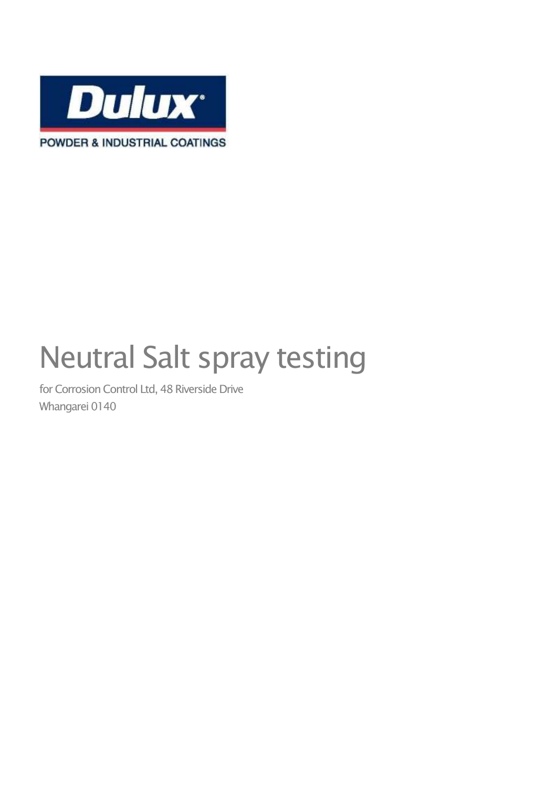

# Neutral Salt spray testing

for Corrosion Control Ltd, 48 Riverside Drive Whangarei 0140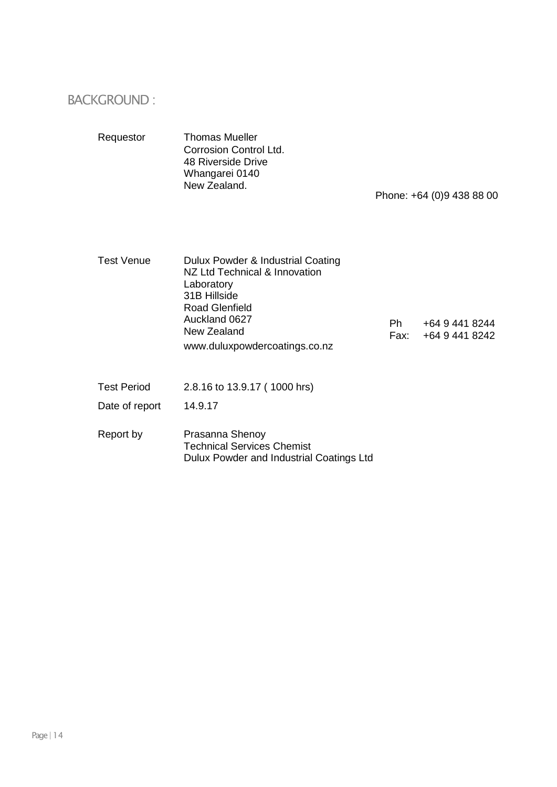#### BACKGROUND :

| Requestor          | Thomas Mueller<br>Corrosion Control Ltd.<br>48 Riverside Drive<br>Whangarei 0140<br>New Zealand.                                                                                           | Phone: +64 (0)9 438 88 00 |                                  |  |
|--------------------|--------------------------------------------------------------------------------------------------------------------------------------------------------------------------------------------|---------------------------|----------------------------------|--|
| <b>Test Venue</b>  | Dulux Powder & Industrial Coating<br>NZ Ltd Technical & Innovation<br>Laboratory<br>31B Hillside<br><b>Road Glenfield</b><br>Auckland 0627<br>New Zealand<br>www.duluxpowdercoatings.co.nz | Ph -<br>Fax:              | +64 9 441 8244<br>+64 9 441 8242 |  |
| <b>Test Period</b> | 2.8.16 to 13.9.17 (1000 hrs)                                                                                                                                                               |                           |                                  |  |
| Date of report     | 14.9.17                                                                                                                                                                                    |                           |                                  |  |
| Report by          | Prasanna Shenoy<br><b>Technical Services Chemist</b><br>Dulux Powder and Industrial Coatings Ltd                                                                                           |                           |                                  |  |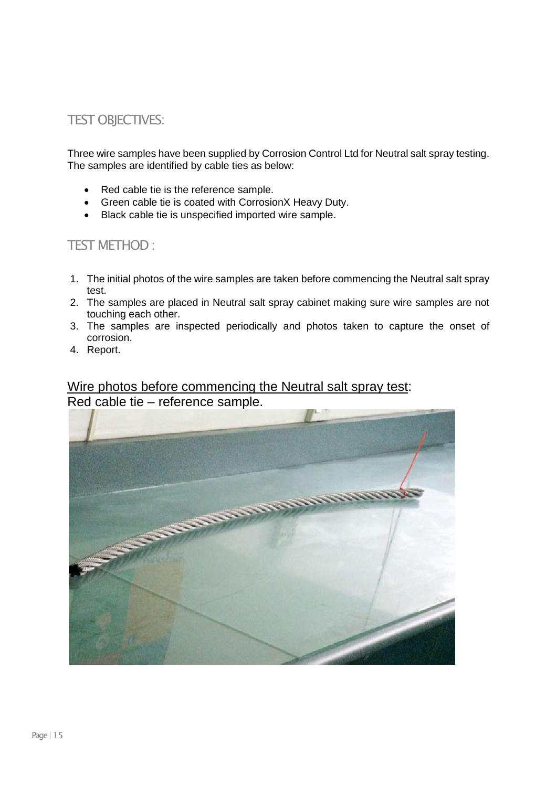#### TEST OBJECTIVES:

Three wire samples have been supplied by Corrosion Control Ltd for Neutral salt spray testing. The samples are identified by cable ties as below:

- Red cable tie is the reference sample.
- Green cable tie is coated with CorrosionX Heavy Duty.
- Black cable tie is unspecified imported wire sample.

#### TEST METHOD :

- 1. The initial photos of the wire samples are taken before commencing the Neutral salt spray test.
- 2. The samples are placed in Neutral salt spray cabinet making sure wire samples are not touching each other.
- 3. The samples are inspected periodically and photos taken to capture the onset of corrosion.
- 4. Report.

#### Wire photos before commencing the Neutral salt spray test: Red cable tie – reference sample.

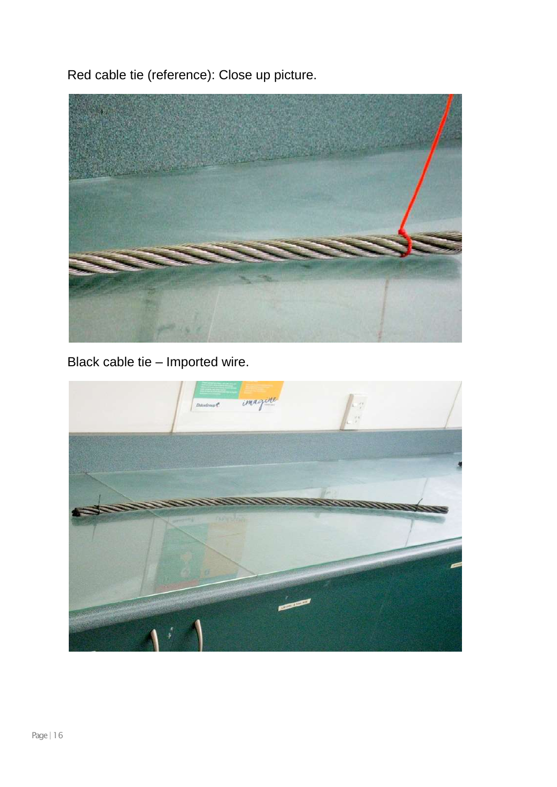Red cable tie (reference): Close up picture.



Black cable tie – Imported wire.

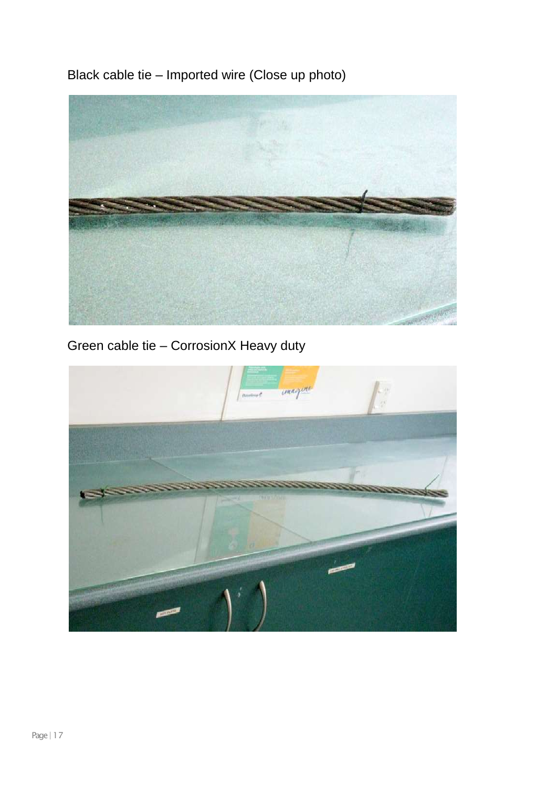Black cable tie – Imported wire (Close up photo)



Green cable tie – CorrosionX Heavy duty

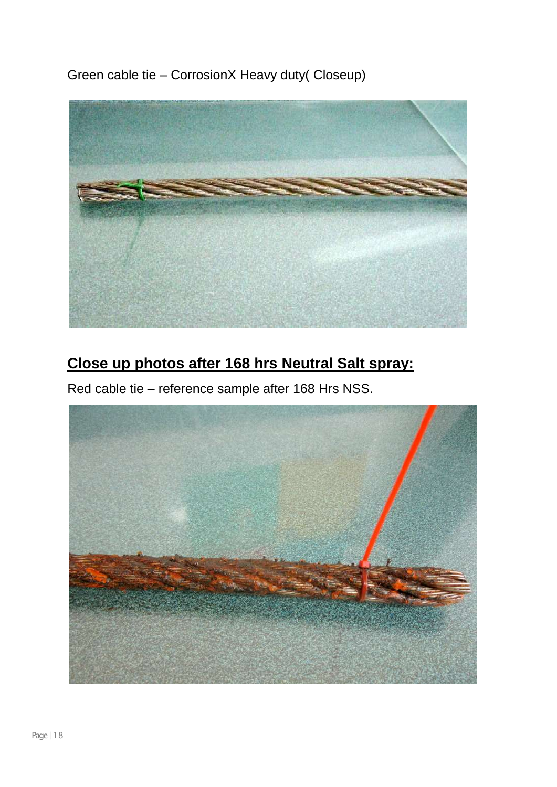Green cable tie – CorrosionX Heavy duty( Closeup)



## **Close up photos after 168 hrs Neutral Salt spray:**

Red cable tie – reference sample after 168 Hrs NSS.

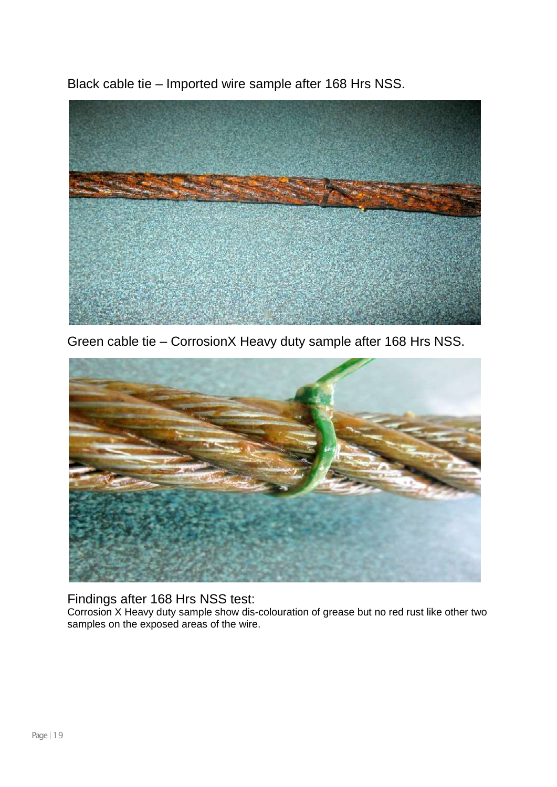Black cable tie – Imported wire sample after 168 Hrs NSS.



Green cable tie – CorrosionX Heavy duty sample after 168 Hrs NSS.



#### Findings after 168 Hrs NSS test:

Corrosion X Heavy duty sample show dis-colouration of grease but no red rust like other two samples on the exposed areas of the wire.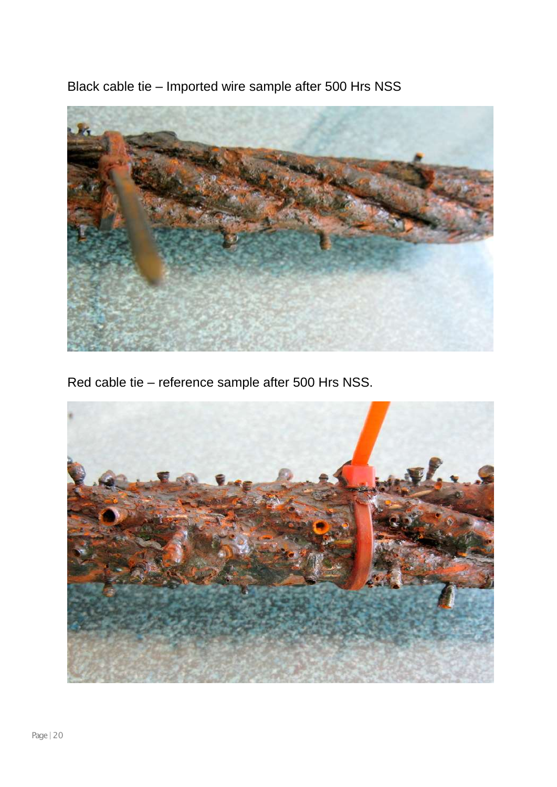Black cable tie – Imported wire sample after 500 Hrs NSS



Red cable tie – reference sample after 500 Hrs NSS.

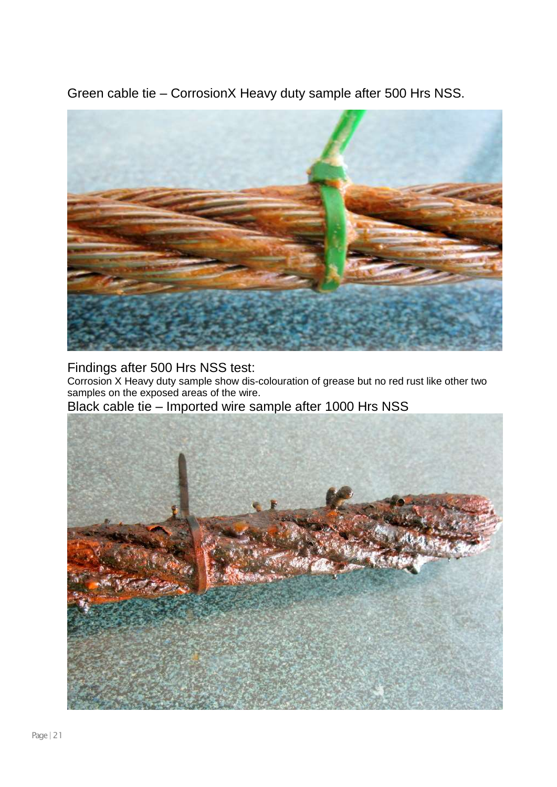Green cable tie – CorrosionX Heavy duty sample after 500 Hrs NSS.



Findings after 500 Hrs NSS test:

Corrosion X Heavy duty sample show dis-colouration of grease but no red rust like other two samples on the exposed areas of the wire.

Black cable tie – Imported wire sample after 1000 Hrs NSS

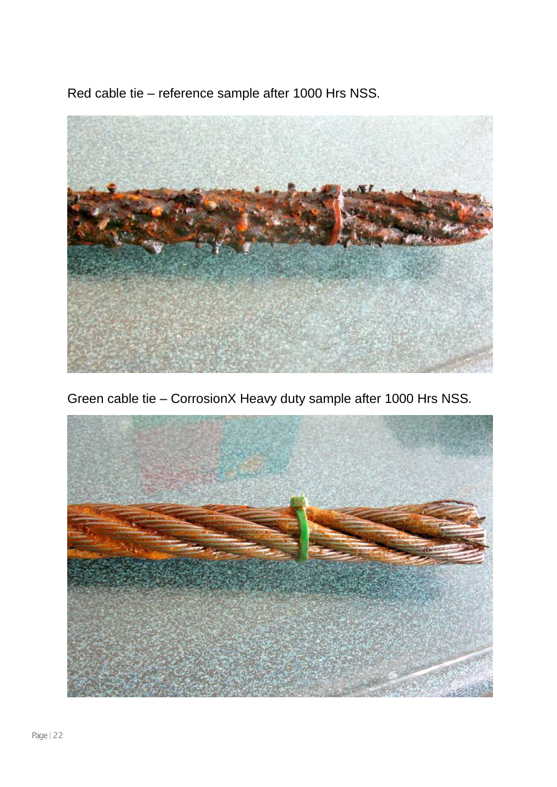Red cable tie – reference sample after 1000 Hrs NSS.



Green cable tie – CorrosionX Heavy duty sample after 1000 Hrs NSS.